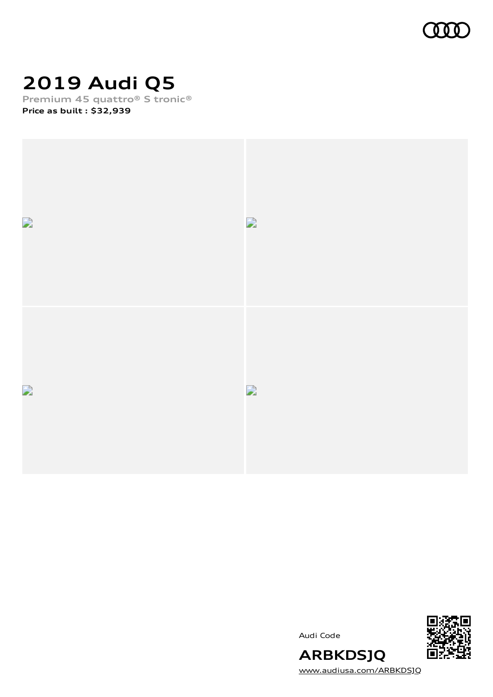

# **2019 Audi Q5**

**Premium 45 quattro® S tronic® Price as built [:](#page-10-0) \$32,939**







[www.audiusa.com/ARBKDSJQ](https://www.audiusa.com/ARBKDSJQ)

**ARBKDSJQ**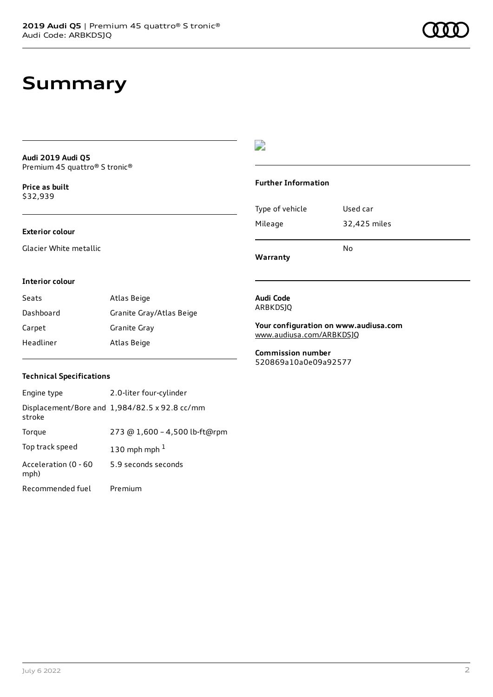### **Summary**

**Audi 2019 Audi Q5** Premium 45 quattro® S tronic®

**Price as buil[t](#page-10-0)** \$32,939

### **Exterior colour**

Glacier White metallic

### $\overline{\phantom{a}}$

#### **Further Information**

|                 | N٥           |
|-----------------|--------------|
| Mileage         | 32,425 miles |
| Type of vehicle | Used car     |

**Warranty**

#### **Interior colour**

| Seats     | Atlas Beige              |
|-----------|--------------------------|
| Dashboard | Granite Gray/Atlas Beige |
| Carpet    | Granite Gray             |
| Headliner | Atlas Beige              |

#### **Audi Code** ARBKDSJQ

**Your configuration on www.audiusa.com** [www.audiusa.com/ARBKDSJQ](https://www.audiusa.com/ARBKDSJQ)

**Commission number** 520869a10a0e09a92577

### **Technical Specifications**

| Engine type                  | 2.0-liter four-cylinder                       |
|------------------------------|-----------------------------------------------|
| stroke                       | Displacement/Bore and 1,984/82.5 x 92.8 cc/mm |
| Torque                       | 273 @ 1,600 - 4,500 lb-ft@rpm                 |
| Top track speed              | 130 mph mph $1$                               |
| Acceleration (0 - 60<br>mph) | 5.9 seconds seconds                           |
| Recommended fuel             | Premium                                       |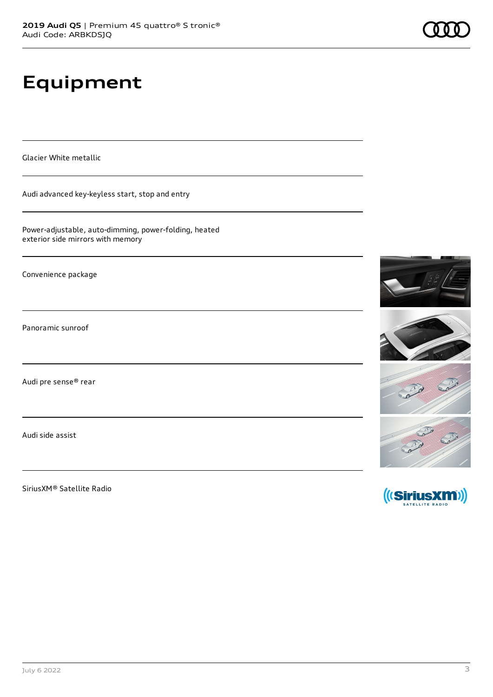# **Equipment**

Glacier White metallic

Audi advanced key-keyless start, stop and entry

Power-adjustable, auto-dimming, power-folding, heated exterior side mirrors with memory

Convenience package

Panoramic sunroof

Audi pre sense® rear

Audi side assist

SiriusXM® Satellite Radio

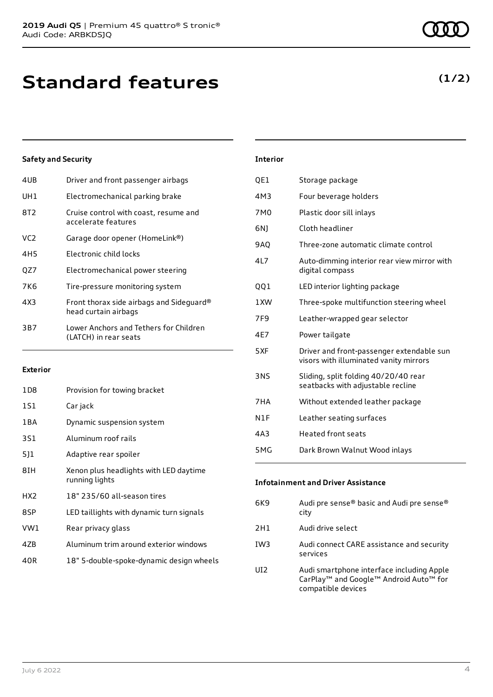| 4UB | Driver and front passenger airbags                               |
|-----|------------------------------------------------------------------|
| UH1 | Electromechanical parking brake                                  |
| 8T2 | Cruise control with coast, resume and<br>accelerate features     |
| VC2 | Garage door opener (HomeLink®)                                   |
| 4H5 | Electronic child locks                                           |
| OZ7 | Electromechanical power steering                                 |
| 7K6 | Tire-pressure monitoring system                                  |
| 4X3 | Front thorax side airbags and Sideguard®<br>head curtain airbags |
| 3B7 | Lower Anchors and Tethers for Children<br>(LATCH) in rear seats  |
|     |                                                                  |

#### **Exterior**

| 1D8             | Provision for towing bracket                             |
|-----------------|----------------------------------------------------------|
| 1S1             | Car jack                                                 |
| 1 B A           | Dynamic suspension system                                |
| 3S1             | Aluminum roof rails                                      |
| 511             | Adaptive rear spoiler                                    |
| 8IH             | Xenon plus headlights with LED daytime<br>running lights |
| HX <sub>2</sub> | 18" 235/60 all-season tires                              |
| 8SP             | LED taillights with dynamic turn signals                 |
| VW1             | Rear privacy glass                                       |
| 4ZB             | Aluminum trim around exterior windows                    |
| 40R             | 18" 5-double-spoke-dynamic design wheels                 |

| <b>Interior</b> |                                                                                     |
|-----------------|-------------------------------------------------------------------------------------|
| QE1             | Storage package                                                                     |
| 4M3             | Four beverage holders                                                               |
| 7M <sub>0</sub> | Plastic door sill inlays                                                            |
| 6N)             | Cloth headliner                                                                     |
| <b>9AO</b>      | Three-zone automatic climate control                                                |
| 4L7             | Auto-dimming interior rear view mirror with<br>digital compass                      |
| QQ1             | LED interior lighting package                                                       |
| 1XW             | Three-spoke multifunction steering wheel                                            |
| 7F <sub>9</sub> | Leather-wrapped gear selector                                                       |
| 4E7             | Power tailgate                                                                      |
| 5XF             | Driver and front-passenger extendable sun<br>visors with illuminated vanity mirrors |
| 3NS             | Sliding, split folding 40/20/40 rear<br>seatbacks with adjustable recline           |
| 7HA             | Without extended leather package                                                    |
| N1F             | Leather seating surfaces                                                            |
| 4A3             | <b>Heated front seats</b>                                                           |
| 5MG             | Dark Brown Walnut Wood inlays                                                       |

| <b>Infotainment and Driver Assistance</b> |                                                   |  |
|-------------------------------------------|---------------------------------------------------|--|
| 6K9                                       | Audi pre sense® basic and Audi pre sense®<br>city |  |
| 2H1                                       | Audi drive select                                 |  |

IW3 Audi connect CARE assistance and security services

UI2 Audi smartphone interface including Apple CarPlay™ and Google™ Android Auto™ for compatible devices

### **(1/2)**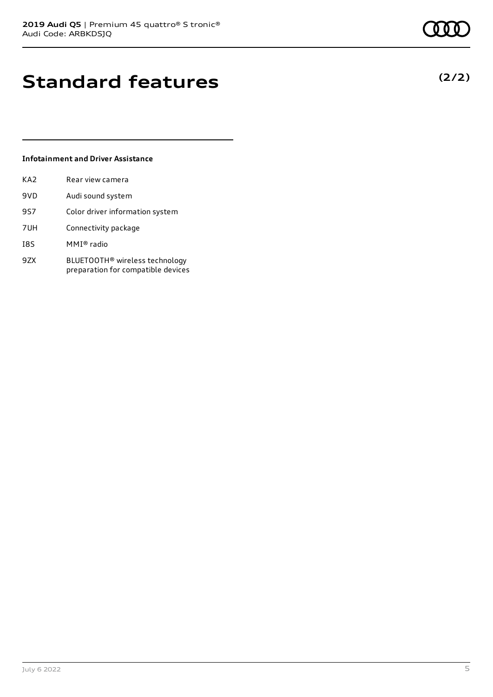# **Standard features**

### **Infotainment and Driver Assistance**

| KA <sub>2</sub> | Rear view camera                                                                 |
|-----------------|----------------------------------------------------------------------------------|
| 9VD             | Audi sound system                                                                |
| 9S7             | Color driver information system                                                  |
| 7UH             | Connectivity package                                                             |
| I8S             | MMI® radio                                                                       |
| 9ZX             | BLUETOOTH <sup>®</sup> wireless technology<br>preparation for compatible devices |

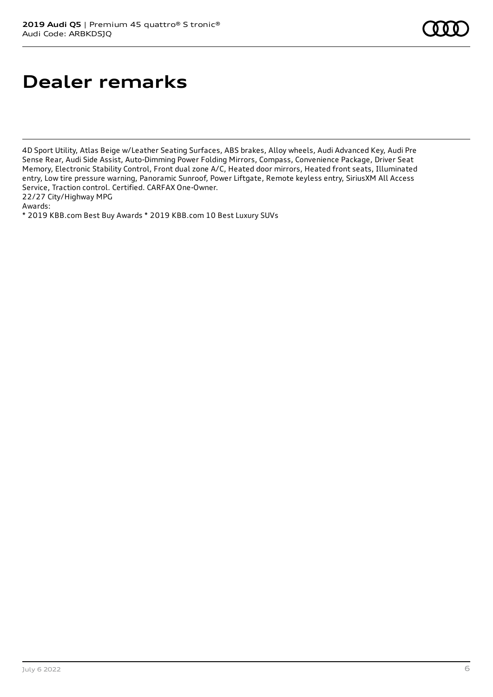## **Dealer remarks**

4D Sport Utility, Atlas Beige w/Leather Seating Surfaces, ABS brakes, Alloy wheels, Audi Advanced Key, Audi Pre Sense Rear, Audi Side Assist, Auto-Dimming Power Folding Mirrors, Compass, Convenience Package, Driver Seat Memory, Electronic Stability Control, Front dual zone A/C, Heated door mirrors, Heated front seats, Illuminated entry, Low tire pressure warning, Panoramic Sunroof, Power Liftgate, Remote keyless entry, SiriusXM All Access Service, Traction control. Certified. CARFAX One-Owner.

22/27 City/Highway MPG

Awards:

\* 2019 KBB.com Best Buy Awards \* 2019 KBB.com 10 Best Luxury SUVs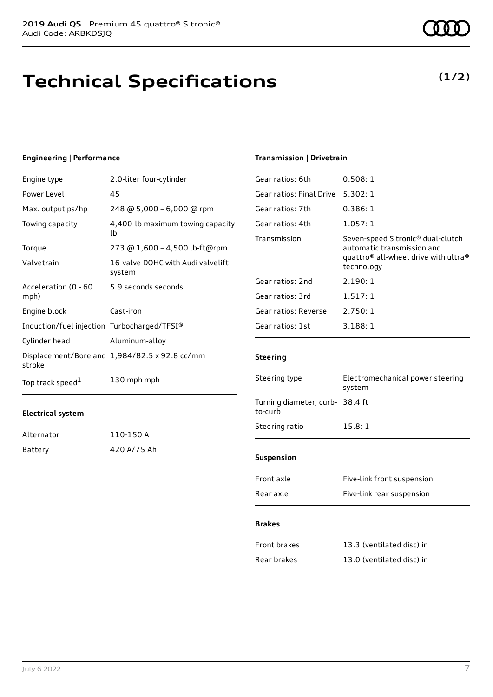### **Technical Specifications**

### **Engineering | Performance**

| Engine type                                 | 2.0-liter four-cylinder                       |
|---------------------------------------------|-----------------------------------------------|
| Power Level                                 | 45                                            |
| Max. output ps/hp                           | 248 @ 5,000 - 6,000 @ rpm                     |
| Towing capacity                             | 4,400-lb maximum towing capacity<br>lb        |
| Torque                                      | 273 @ 1,600 - 4,500 lb-ft@rpm                 |
| Valvetrain                                  | 16-valve DOHC with Audi valvelift<br>system   |
| Acceleration (0 - 60<br>mph)                | 5.9 seconds seconds                           |
| Engine block                                | Cast-iron                                     |
| Induction/fuel injection Turbocharged/TFSI® |                                               |
| Cylinder head                               | Aluminum-alloy                                |
| stroke                                      | Displacement/Bore and 1,984/82.5 x 92.8 cc/mm |
| Top track speed <sup>1</sup>                | 130 mph mph                                   |

#### **Electrical system**

| Alternator | 110-150 A   |
|------------|-------------|
| Battery    | 420 A/75 Ah |

### **Transmission | Drivetrain**

| Gear ratios: 6th         | 0.508:1                                                                                                                                                   |
|--------------------------|-----------------------------------------------------------------------------------------------------------------------------------------------------------|
| Gear ratios: Final Drive | 5.302:1                                                                                                                                                   |
| Gear ratios: 7th         | 0.386:1                                                                                                                                                   |
| Gear ratios: 4th         | 1.057:1                                                                                                                                                   |
| Transmission             | Seven-speed S tronic <sup>®</sup> dual-clutch<br>automatic transmission and<br>quattro <sup>®</sup> all-wheel drive with ultra <sup>®</sup><br>technology |
| Gear ratios: 2nd         | 2.190:1                                                                                                                                                   |
| Gear ratios: 3rd         | 1.517:1                                                                                                                                                   |
| Gear ratios: Reverse     | 2.750:1                                                                                                                                                   |
| Gear ratios: 1st         | 3.188:1                                                                                                                                                   |
|                          |                                                                                                                                                           |

### **Steering**

| Steering type                              | Electromechanical power steering<br>system |
|--------------------------------------------|--------------------------------------------|
| Turning diameter, curb- 38.4 ft<br>to-curb |                                            |
| Steering ratio                             | 15.8:1                                     |
|                                            |                                            |
| <b>Suspension</b>                          |                                            |
| Front axle                                 | Five-link front suspension                 |
| Rear axle                                  | Five-link rear suspension                  |

#### **Brakes**

| Front brakes | 13.3 (ventilated disc) in |
|--------------|---------------------------|
| Rear brakes  | 13.0 (ventilated disc) in |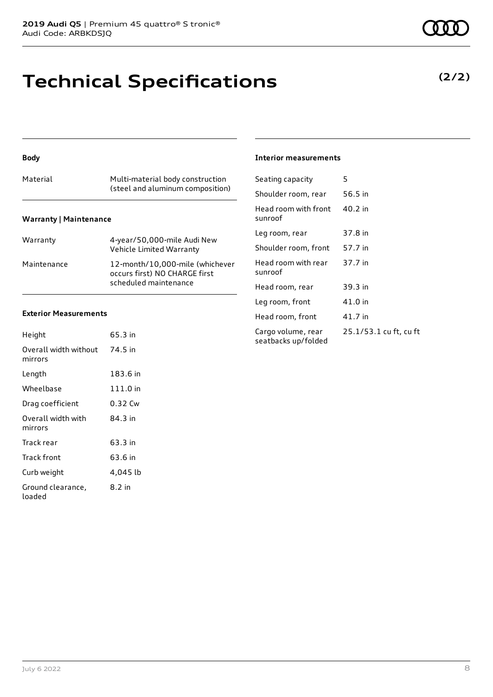## **Technical Specifications**

### **Body**

| Material                      | Multi-material body construction<br>(steel and aluminum composition) |  |
|-------------------------------|----------------------------------------------------------------------|--|
| <b>Warranty   Maintenance</b> |                                                                      |  |

| Warranty    | 4-year/50,000-mile Audi New<br>Vehicle Limited Warranty                                   |
|-------------|-------------------------------------------------------------------------------------------|
| Maintenance | 12-month/10,000-mile (whichever<br>occurs first) NO CHARGE first<br>scheduled maintenance |

### **Exterior Measurements**

| Height                           | 65.3 in  |
|----------------------------------|----------|
| Overall width without<br>mirrors | 74.5 in  |
| Length                           | 183.6 in |
| Wheelbase                        | 111.0 in |
| Drag coefficient                 | 0.32 Cw  |
| Overall width with<br>mirrors    | 84.3 in  |
| Track rear                       | 63.3 in  |
| Track front                      | 63.6 in  |
| Curb weight                      | 4,045 lb |
| Ground clearance,<br>loaded      | 8.2 in   |

#### **Interior measurements**

| Seating capacity                          | 5                      |
|-------------------------------------------|------------------------|
| Shoulder room, rear                       | 56.5 in                |
| Head room with front<br>sunroof           | 40.2 in                |
| Leg room, rear                            | 37.8 in                |
| Shoulder room, front                      | 57.7 in                |
| Head room with rear<br>sunroof            | 37.7 in                |
| Head room, rear                           | 39.3 in                |
| Leg room, front                           | 41.0 in                |
| Head room, front                          | 41.7 in                |
| Cargo volume, rear<br>seatbacks up/folded | 25.1/53.1 cu ft, cu ft |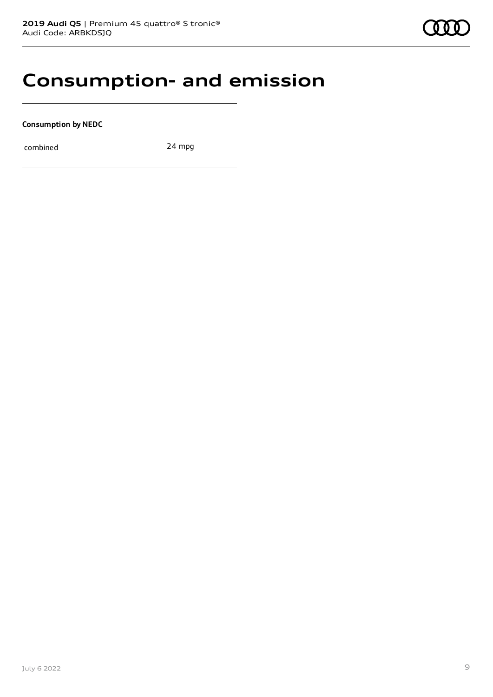### **Consumption- and emission**

**Consumption by NEDC**

combined 24 mpg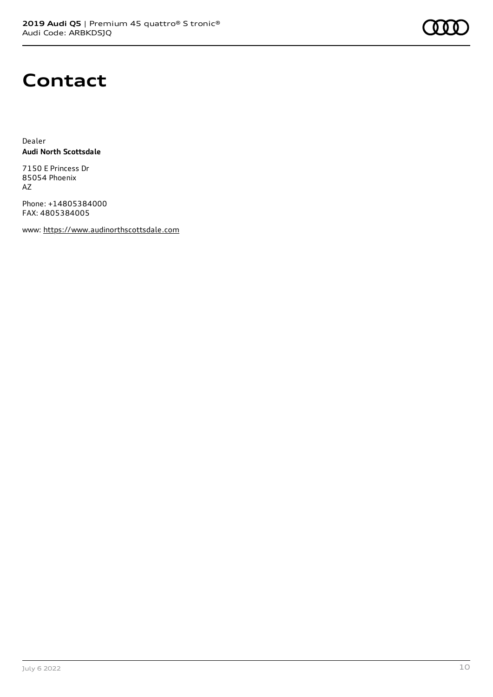

### **Contact**

Dealer **Audi North Scottsdale**

7150 E Princess Dr 85054 Phoenix AZ

Phone: +14805384000 FAX: 4805384005

www: [https://www.audinorthscottsdale.com](https://www.audinorthscottsdale.com/)